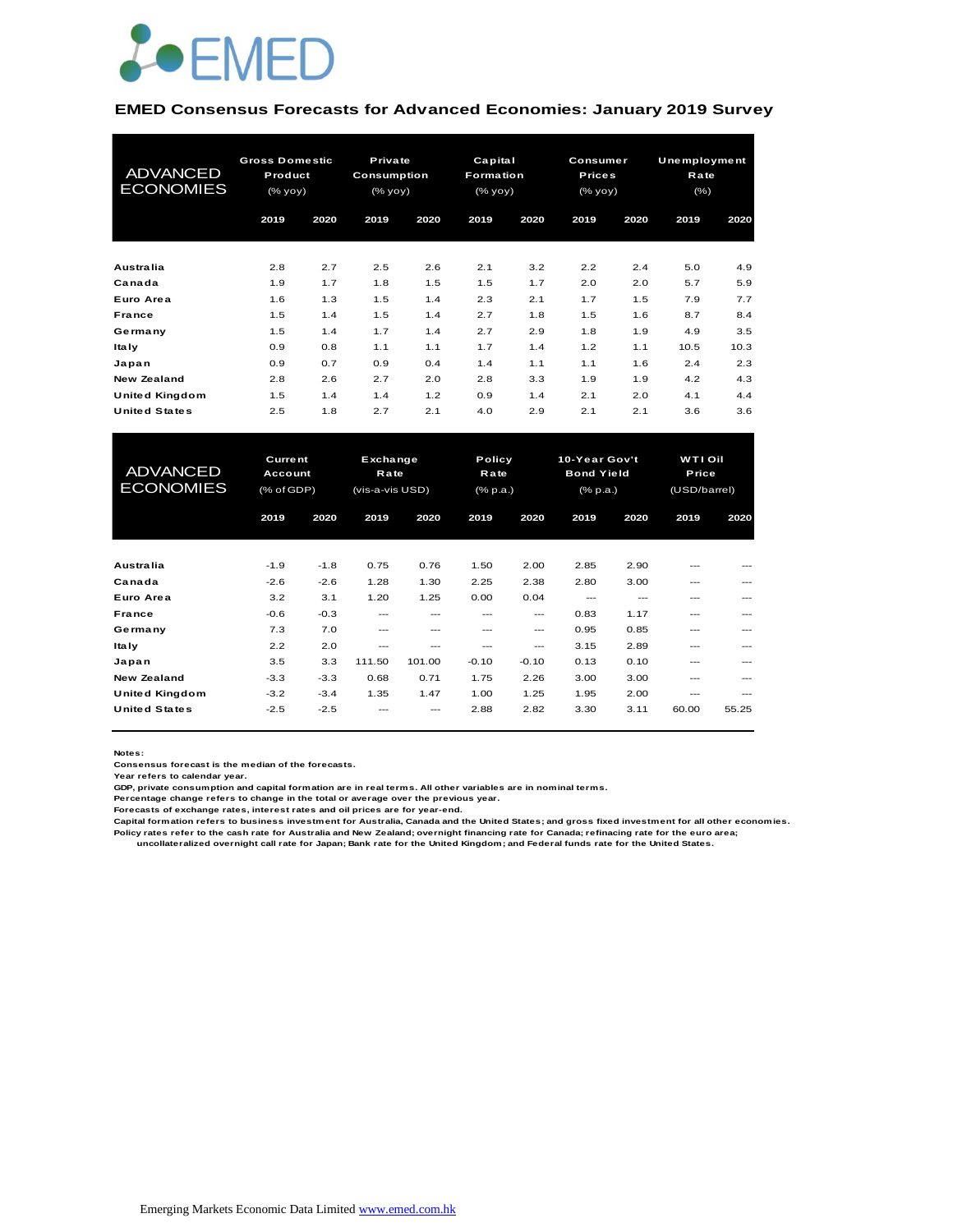

#### **EMED Consensus Forecasts for Advanced Economies: January 2019 Survey**

| <b>ADVANCED</b><br><b>ECONOMIES</b> | <b>Gross Domestic</b><br>Product<br>$(%$ yoy $)$ |      | Private<br><b>Consumption</b><br>(% yoy) |      | Capital<br>Formation<br>(% yoy) |      | Consumer<br><b>Prices</b><br>(% yoy) |      | Unemployment<br>Rate<br>(% ) |      |
|-------------------------------------|--------------------------------------------------|------|------------------------------------------|------|---------------------------------|------|--------------------------------------|------|------------------------------|------|
|                                     | 2019                                             | 2020 | 2019                                     | 2020 | 2019                            | 2020 | 2019                                 | 2020 | 2019                         | 2020 |
| <b>Australia</b>                    | 2.8                                              | 2.7  | 2.5                                      | 2.6  | 2.1                             | 3.2  | 2.2                                  | 2.4  | 5.0                          | 4.9  |
| Canada                              | 1.9                                              | 1.7  | 1.8                                      | 1.5  | 1.5                             | 1.7  | 2.0                                  | 2.0  | 5.7                          | 5.9  |
| Euro Area                           | 1.6                                              | 1.3  | 1.5                                      | 1.4  | 2.3                             | 2.1  | 1.7                                  | 1.5  | 7.9                          | 7.7  |
| France                              | 1.5                                              | 1.4  | 1.5                                      | 1.4  | 2.7                             | 1.8  | 1.5                                  | 1.6  | 8.7                          | 8.4  |
| Germany                             | 1.5                                              | 1.4  | 1.7                                      | 1.4  | 2.7                             | 2.9  | 1.8                                  | 1.9  | 4.9                          | 3.5  |
| <b>Italy</b>                        | 0.9                                              | 0.8  | 1.1                                      | 1.1  | 1.7                             | 1.4  | 1.2                                  | 1.1  | 10.5                         | 10.3 |
| Japan                               | 0.9                                              | 0.7  | 0.9                                      | 0.4  | 1.4                             | 1.1  | 1.1                                  | 1.6  | 2.4                          | 2.3  |
| New Zealand                         | 2.8                                              | 2.6  | 2.7                                      | 2.0  | 2.8                             | 3.3  | 1.9                                  | 1.9  | 4.2                          | 4.3  |
| <b>United Kingdom</b>               | 1.5                                              | 1.4  | 1.4                                      | 1.2  | 0.9                             | 1.4  | 2.1                                  | 2.0  | 4.1                          | 4.4  |
| <b>United States</b>                | 2.5                                              | 1.8  | 2.7                                      | 2.1  | 4.0                             | 2.9  | 2.1                                  | 2.1  | 3.6                          | 3.6  |

| <b>United Kingdom</b>               | 1.5                                     | 1.4    | 1.4                                 | 1.2    | 0.9                               | 1.4     | 2.1                                                   | 2.0  | 4.1                              | 4.4     |
|-------------------------------------|-----------------------------------------|--------|-------------------------------------|--------|-----------------------------------|---------|-------------------------------------------------------|------|----------------------------------|---------|
| <b>United States</b>                | 2.5                                     | 1.8    | 2.7                                 | 2.1    | 4.0                               | 2.9     | 2.1                                                   | 2.1  | 3.6                              | 3.6     |
|                                     |                                         |        |                                     |        |                                   |         |                                                       |      |                                  |         |
| <b>ADVANCED</b><br><b>ECONOMIES</b> | <b>Current</b><br>Account<br>(% of GDP) |        | Exchange<br>Rate<br>(vis-a-vis USD) |        | Policy<br>Rate<br>$(%$ $(% p.a.)$ |         | 10-Year Gov't<br><b>Bond Yield</b><br>$(%$ $(% p.a.)$ |      | WTI Oil<br>Price<br>(USD/barrel) |         |
|                                     | 2019                                    | 2020   | 2019                                | 2020   | 2019                              | 2020    | 2019                                                  | 2020 | 2019                             | 2020    |
|                                     |                                         |        |                                     |        |                                   |         |                                                       |      |                                  |         |
| Australia                           | $-1.9$                                  | $-1.8$ | 0.75                                | 0.76   | 1.50                              | 2.00    | 2.85                                                  | 2.90 | ---                              |         |
| Canada                              | $-2.6$                                  | $-2.6$ | 1.28                                | 1.30   | 2.25                              | 2.38    | 2.80                                                  | 3.00 | ---                              |         |
| Euro Area                           | 3.2                                     | 3.1    | 1.20                                | 1.25   | 0.00                              | 0.04    | $---$                                                 | ---  | ---                              |         |
| France                              | $-0.6$                                  | $-0.3$ | $---$                               | $---$  | $- - -$                           | ---     | 0.83                                                  | 1.17 | ---                              | $- - -$ |
| Germany                             | 7.3                                     | 7.0    | $---$                               | $---$  | ---                               | ---     | 0.95                                                  | 0.85 | ---                              | ---     |
| <b>Italy</b>                        | 2.2                                     | 2.0    | ---                                 | $---$  | $---$                             | $---$   | 3.15                                                  | 2.89 | ---                              |         |
| Japan                               | 3.5                                     | 3.3    | 111.50                              | 101.00 | $-0.10$                           | $-0.10$ | 0.13                                                  | 0.10 | ---                              | ---     |
| New Zealand                         | $-3.3$                                  | $-3.3$ | 0.68                                | 0.71   | 1.75                              | 2.26    | 3.00                                                  | 3.00 | ---                              | ---     |
| <b>United Kingdom</b>               | $-3.2$                                  | $-3.4$ | 1.35                                | 1.47   | 1.00                              | 1.25    | 1.95                                                  | 2.00 | ---                              | ---     |
| <b>United States</b>                | $-2.5$                                  | $-2.5$ |                                     |        | 2.88                              | 2.82    | 3.30                                                  | 3.11 | 60.00                            | 55.25   |

**Notes:** 

**Consensus forecast is the median of the forecasts.**

**Year refers to calendar year.**

**GDP, private consumption and capital formation are in real terms. All other variables are in nominal terms.**

**Percentage change refers to change in the total or average over the previous year.**

**Forecasts of exchange rates, interest rates and oil prices are for year-end.**

**Capital formation refers to business investment for Australia, Canada and the United States; and gross fixed investment for all other economies. Policy rates refer to the cash rate for Australia and New Zealand; overnight financing rate for Canada; refinacing rate for the euro area; uncollateralized overnight call rate for Japan; Bank rate for the United Kingdom; and Federal funds rate for the United States.**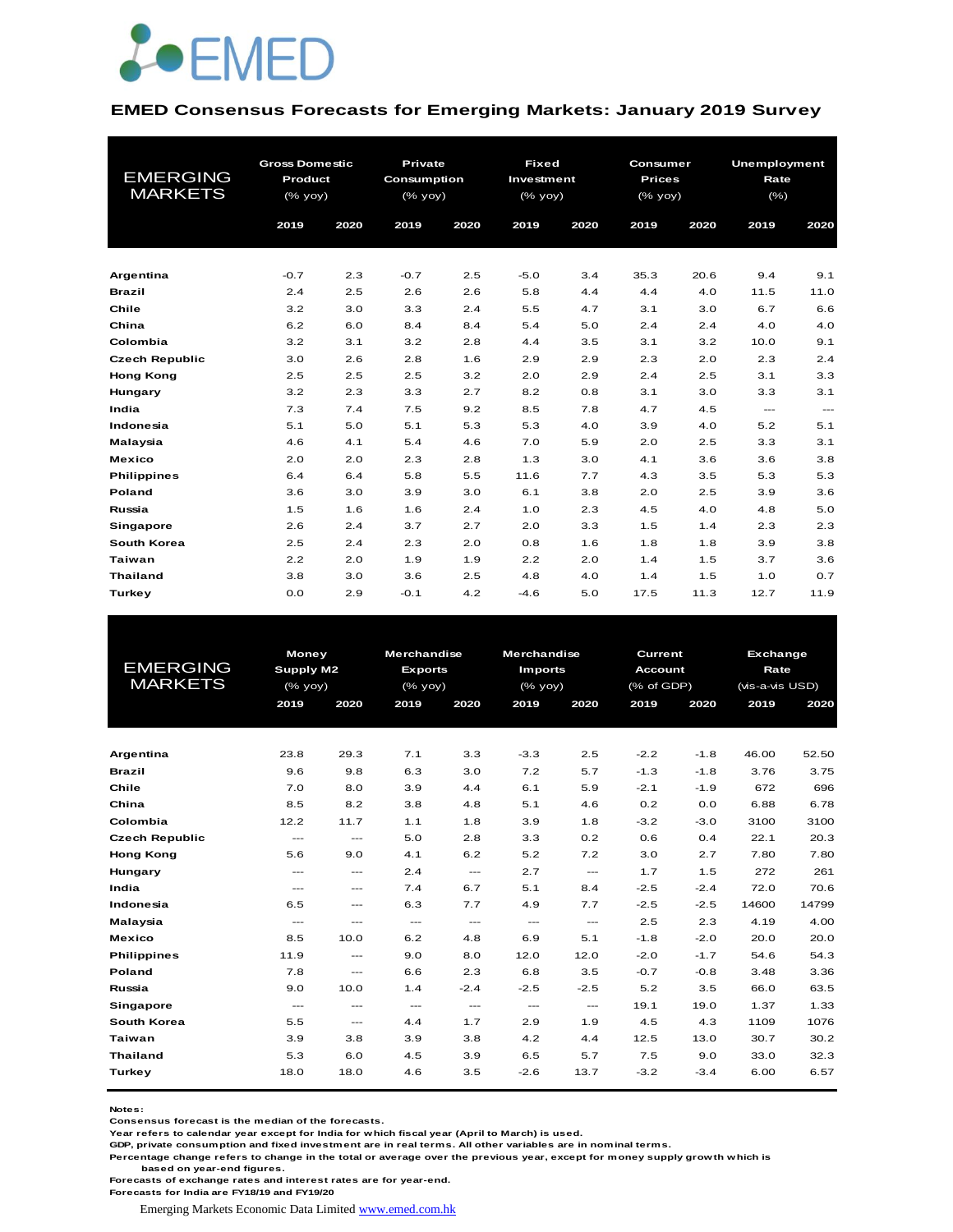

#### **EMED Consensus Forecasts for Emerging Markets: January 2019 Survey**

| <b>EMERGING</b><br><b>MARKETS</b> | <b>Gross Domestic</b><br>Product<br>$(%$ yoy) |      | <b>Private</b><br><b>Consumption</b><br>(% yoy) |      | <b>Fixed</b><br>Investment<br>$(%$ (% yoy) |      | Consumer<br><b>Prices</b><br>(% yoy) |      | <b>Unemployment</b><br>Rate<br>$(\% )$ |                      |
|-----------------------------------|-----------------------------------------------|------|-------------------------------------------------|------|--------------------------------------------|------|--------------------------------------|------|----------------------------------------|----------------------|
|                                   | 2019                                          | 2020 | 2019                                            | 2020 | 2019                                       | 2020 | 2019                                 | 2020 | 2019                                   | 2020                 |
| Argentina                         | $-0.7$                                        | 2.3  | $-0.7$                                          | 2.5  | $-5.0$                                     | 3.4  | 35.3                                 | 20.6 | 9.4                                    | 9.1                  |
| <b>Brazil</b>                     | 2.4                                           | 2.5  | 2.6                                             | 2.6  | 5.8                                        | 4.4  | 4.4                                  | 4.0  | 11.5                                   | 11.0                 |
| Chile                             | 3.2                                           | 3.0  | 3.3                                             | 2.4  | 5.5                                        | 4.7  | 3.1                                  | 3.0  | 6.7                                    | 6.6                  |
| China                             | 6.2                                           | 6.0  | 8.4                                             | 8.4  | 5.4                                        | 5.0  | 2.4                                  | 2.4  | 4.0                                    | 4.0                  |
| Colombia                          | 3.2                                           | 3.1  | 3.2                                             | 2.8  | 4.4                                        | 3.5  | 3.1                                  | 3.2  | 10.0                                   | 9.1                  |
| <b>Czech Republic</b>             | 3.0                                           | 2.6  | 2.8                                             | 1.6  | 2.9                                        | 2.9  | 2.3                                  | 2.0  | 2.3                                    | 2.4                  |
| <b>Hong Kong</b>                  | 2.5                                           | 2.5  | 2.5                                             | 3.2  | 2.0                                        | 2.9  | 2.4                                  | 2.5  | 3.1                                    | 3.3                  |
| Hungary                           | 3.2                                           | 2.3  | 3.3                                             | 2.7  | 8.2                                        | 0.8  | 3.1                                  | 3.0  | 3.3                                    | 3.1                  |
| India                             | 7.3                                           | 7.4  | 7.5                                             | 9.2  | 8.5                                        | 7.8  | 4.7                                  | 4.5  | $\cdots$                               | $\sim$ $\sim$ $\sim$ |
| Indonesia                         | 5.1                                           | 5.0  | 5.1                                             | 5.3  | 5.3                                        | 4.0  | 3.9                                  | 4.0  | 5.2                                    | 5.1                  |
| Malaysia                          | 4.6                                           | 4.1  | 5.4                                             | 4.6  | 7.0                                        | 5.9  | 2.0                                  | 2.5  | 3.3                                    | 3.1                  |
| <b>Mexico</b>                     | 2.0                                           | 2.0  | 2.3                                             | 2.8  | 1.3                                        | 3.0  | 4.1                                  | 3.6  | 3.6                                    | 3.8                  |
| <b>Philippines</b>                | 6.4                                           | 6.4  | 5.8                                             | 5.5  | 11.6                                       | 7.7  | 4.3                                  | 3.5  | 5.3                                    | 5.3                  |
| Poland                            | 3.6                                           | 3.0  | 3.9                                             | 3.0  | 6.1                                        | 3.8  | 2.0                                  | 2.5  | 3.9                                    | 3.6                  |
| Russia                            | 1.5                                           | 1.6  | 1.6                                             | 2.4  | 1.0                                        | 2.3  | 4.5                                  | 4.0  | 4.8                                    | 5.0                  |
| <b>Singapore</b>                  | 2.6                                           | 2.4  | 3.7                                             | 2.7  | 2.0                                        | 3.3  | 1.5                                  | 1.4  | 2.3                                    | 2.3                  |
| South Korea                       | 2.5                                           | 2.4  | 2.3                                             | 2.0  | 0.8                                        | 1.6  | 1.8                                  | 1.8  | 3.9                                    | 3.8                  |
| <b>Taiwan</b>                     | 2.2                                           | 2.0  | 1.9                                             | 1.9  | 2.2                                        | 2.0  | 1.4                                  | 1.5  | 3.7                                    | 3.6                  |
| <b>Thailand</b>                   | 3.8                                           | 3.0  | 3.6                                             | 2.5  | 4.8                                        | 4.0  | 1.4                                  | 1.5  | 1.0                                    | 0.7                  |
| <b>Turkey</b>                     | 0.0                                           | 2.9  | $-0.1$                                          | 4.2  | $-4.6$                                     | 5.0  | 17.5                                 | 11.3 | 12.7                                   | 11.9                 |

|                       | Money                               |                                     | <b>Merchandise</b>     |               | <b>Merchandise</b> |                                          | Current        |        |                                                                                                                                                            |       |
|-----------------------|-------------------------------------|-------------------------------------|------------------------|---------------|--------------------|------------------------------------------|----------------|--------|------------------------------------------------------------------------------------------------------------------------------------------------------------|-------|
| <b>EMERGING</b>       | <b>Supply M2</b>                    |                                     | <b>Exports</b>         |               | <b>Imports</b>     |                                          | <b>Account</b> |        | <b>Exchange</b><br>Rate<br>(vis-a-vis USD)<br>2019<br>46.00<br>3.76<br>672<br>6.88<br>3100<br>22.1<br>7.80<br>272<br>72.0<br>14600<br>4.19<br>20.0<br>54.6 |       |
| <b>MARKETS</b>        |                                     | (% yoy)                             |                        | $(%$ (% yoy)  | $(\%$ yoy)         |                                          | (% of GDP)     |        |                                                                                                                                                            |       |
|                       | 2019                                | 2020                                | 2019                   | 2020          | 2019               | 2020                                     | 2019           | 2020   |                                                                                                                                                            | 2020  |
|                       |                                     |                                     |                        |               |                    |                                          |                |        |                                                                                                                                                            |       |
|                       |                                     |                                     |                        |               |                    |                                          |                |        |                                                                                                                                                            |       |
| Argentina             | 23.8                                | 29.3                                | 7.1                    | 3.3           | $-3.3$             | 2.5                                      | $-2.2$         | $-1.8$ |                                                                                                                                                            | 52.50 |
| <b>Brazil</b>         | 9.6                                 | 9.8                                 | 6.3                    | 3.0           | 7.2                | 5.7                                      | $-1.3$         | $-1.8$ |                                                                                                                                                            | 3.75  |
| Chile                 | 7.0                                 | 8.0                                 | 3.9                    | 4.4           | 6.1                | 5.9                                      | $-2.1$         | $-1.9$ |                                                                                                                                                            | 696   |
| China                 | 8.5                                 | 8.2                                 | 3.8                    | 4.8           | 5.1                | 4.6                                      | 0.2            | 0.0    |                                                                                                                                                            | 6.78  |
| Colombia              | 12.2                                | 11.7                                | 1.1                    | 1.8           | 3.9                | 1.8                                      | $-3.2$         | $-3.0$ |                                                                                                                                                            | 3100  |
| <b>Czech Republic</b> | $\hspace{0.05cm}---\hspace{0.05cm}$ | $\cdots$                            | 5.0                    | 2.8           | 3.3                | 0.2                                      | 0.6            | 0.4    |                                                                                                                                                            | 20.3  |
| <b>Hong Kong</b>      | 5.6                                 | 9.0                                 | 4.1                    | 6.2           | 5.2                | 7.2                                      | 3.0            | 2.7    |                                                                                                                                                            | 7.80  |
| Hungary               | $\cdots$                            | $\cdots$                            | 2.4                    | $\frac{1}{2}$ | 2.7                | $\frac{1}{2}$                            | 1.7            | 1.5    |                                                                                                                                                            | 261   |
| India                 | $\cdots$                            | $---$                               | 7.4                    | 6.7           | 5.1                | 8.4                                      | $-2.5$         | $-2.4$ |                                                                                                                                                            | 70.6  |
| Indonesia             | 6.5                                 | $\cdots$                            | 6.3                    | 7.7           | 4.9                | 7.7                                      | $-2.5$         | $-2.5$ |                                                                                                                                                            | 14799 |
| Malaysia              | $\sim$ $\sim$ $\sim$                | $---$                               | $\sim$ $\sim$ $\sim$   | $\frac{1}{2}$ | $\sim$ $\sim$      | $\frac{1}{2}$                            | 2.5            | 2.3    |                                                                                                                                                            | 4.00  |
| <b>Mexico</b>         | 8.5                                 | 10.0                                | 6.2                    | 4.8           | 6.9                | 5.1                                      | $-1.8$         | $-2.0$ |                                                                                                                                                            | 20.0  |
| <b>Philippines</b>    | 11.9                                | $\hspace{0.05cm}---\hspace{0.05cm}$ | 9.0                    | 8.0           | 12.0               | 12.0                                     | $-2.0$         | $-1.7$ |                                                                                                                                                            | 54.3  |
| <b>Poland</b>         | 7.8                                 | $\cdots$                            | 6.6                    | 2.3           | 6.8                | 3.5                                      | $-0.7$         | $-0.8$ | 3.48                                                                                                                                                       | 3.36  |
| Russia                | 9.0                                 | 10.0                                | 1.4                    | $-2.4$        | $-2.5$             | $-2.5$                                   | 5.2            | 3.5    | 66.0                                                                                                                                                       | 63.5  |
| Singapore             | $\sim$ $\sim$                       | $\qquad \qquad -$                   | $\qquad \qquad \cdots$ | $\cdots$      | $\cdots$           | $\hspace{0.05cm} \ldots \hspace{0.05cm}$ | 19.1           | 19.0   | 1.37                                                                                                                                                       | 1.33  |
| South Korea           | 5.5                                 | $\qquad \qquad -$                   | 4.4                    | 1.7           | 2.9                | 1.9                                      | 4.5            | 4.3    | 1109                                                                                                                                                       | 1076  |
| <b>Taiwan</b>         | 3.9                                 | 3.8                                 | 3.9                    | 3.8           | 4.2                | 4.4                                      | 12.5           | 13.0   | 30.7                                                                                                                                                       | 30.2  |
| <b>Thailand</b>       | 5.3                                 | 6.0                                 | 4.5                    | 3.9           | 6.5                | 5.7                                      | 7.5            | 9.0    | 33.0                                                                                                                                                       | 32.3  |
| Turkey                | 18.0                                | 18.0                                | 4.6                    | 3.5           | $-2.6$             | 13.7                                     | $-3.2$         | $-3.4$ | 6.00                                                                                                                                                       | 6.57  |
|                       |                                     |                                     |                        |               |                    |                                          |                |        |                                                                                                                                                            |       |

**Notes:** 

**Consensus forecast is the median of the forecasts.**

**Year refers to calendar year except for India for which fiscal year (April to March) is used.**

**GDP, private consumption and fixed investment are in real terms. All other variables are in nominal terms.**

**Percentage change refers to change in the total or average over the previous year, except for money supply growth which is based on year-end figures.**

**Forecasts of exchange rates and interest rates are for year-end.**

**Forecasts for India are FY18/19 and FY19/20**

Emerging Markets Economic Data Limited www.emed.com.hk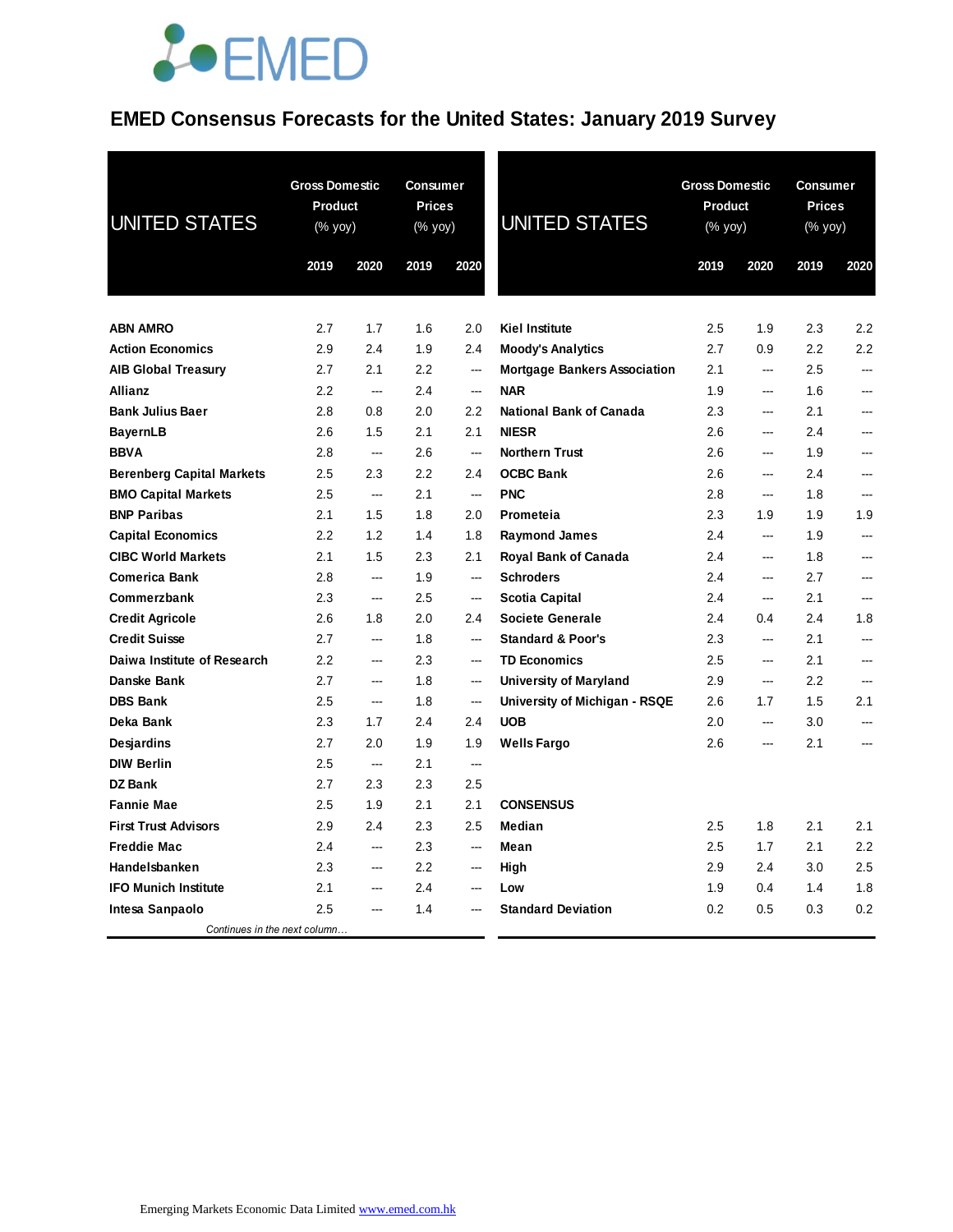# **JOEMED**

### **EMED Consensus Forecasts for the United States: January 2019 Survey**

| <b>UNITED STATES</b>             | <b>Gross Domestic</b><br><b>Product</b><br>(% yoy) |                | <b>Consumer</b><br><b>Prices</b><br>(% yoy) |                          | <b>UNITED STATES</b>                | <b>Gross Domestic</b><br><b>Product</b><br>(% yoy) |                          | <b>Consumer</b><br><b>Prices</b><br>(% yoy) |      |
|----------------------------------|----------------------------------------------------|----------------|---------------------------------------------|--------------------------|-------------------------------------|----------------------------------------------------|--------------------------|---------------------------------------------|------|
|                                  | 2019                                               | 2020           | 2019                                        | 2020                     |                                     | 2019                                               | 2020                     | 2019                                        | 2020 |
| <b>ABN AMRO</b>                  | 2.7                                                | 1.7            | 1.6                                         | 2.0                      | <b>Kiel Institute</b>               | 2.5                                                | 1.9                      | 2.3                                         | 2.2  |
| <b>Action Economics</b>          | 2.9                                                | 2.4            | 1.9                                         | 2.4                      | <b>Moody's Analytics</b>            | 2.7                                                | 0.9                      | 2.2                                         | 2.2  |
| <b>AIB Global Treasury</b>       | 2.7                                                | 2.1            | $2.2\,$                                     | $\overline{a}$           | <b>Mortgage Bankers Association</b> | 2.1                                                | ---                      | 2.5                                         | ---  |
| <b>Allianz</b>                   | 2.2                                                | $\overline{a}$ | 2.4                                         | $\overline{a}$           | <b>NAR</b>                          | 1.9                                                | $\overline{\phantom{a}}$ | 1.6                                         | ---  |
| <b>Bank Julius Baer</b>          | 2.8                                                | 0.8            | 2.0                                         | 2.2                      | <b>National Bank of Canada</b>      | 2.3                                                | $\overline{\phantom{a}}$ | 2.1                                         | ---  |
| <b>BayernLB</b>                  | 2.6                                                | 1.5            | 2.1                                         | 2.1                      | <b>NIESR</b>                        | 2.6                                                | $\overline{\phantom{a}}$ | 2.4                                         | ---  |
| <b>BBVA</b>                      | 2.8                                                | ---            | 2.6                                         | ---                      | <b>Northern Trust</b>               | 2.6                                                | $\overline{\phantom{a}}$ | 1.9                                         | ---  |
| <b>Berenberg Capital Markets</b> | 2.5                                                | 2.3            | 2.2                                         | 2.4                      | <b>OCBC Bank</b>                    | 2.6                                                | $\overline{\phantom{a}}$ | 2.4                                         | ---  |
| <b>BMO Capital Markets</b>       | 2.5                                                | $\overline{a}$ | 2.1                                         | $\overline{\phantom{a}}$ | <b>PNC</b>                          | 2.8                                                | ---                      | 1.8                                         | ---  |
| <b>BNP Paribas</b>               | 2.1                                                | 1.5            | 1.8                                         | 2.0                      | Prometeia                           | 2.3                                                | 1.9                      | 1.9                                         | 1.9  |
| <b>Capital Economics</b>         | 2.2                                                | 1.2            | 1.4                                         | 1.8                      | <b>Raymond James</b>                | 2.4                                                | ---                      | 1.9                                         | ---  |
| <b>CIBC World Markets</b>        | 2.1                                                | 1.5            | 2.3                                         | 2.1                      | Royal Bank of Canada                | 2.4                                                | $\qquad \qquad \cdots$   | 1.8                                         | ---  |
| <b>Comerica Bank</b>             | 2.8                                                | ---            | 1.9                                         | $\overline{\phantom{a}}$ | <b>Schroders</b>                    | 2.4                                                | ---                      | 2.7                                         | ---  |
| Commerzbank                      | 2.3                                                | ---            | 2.5                                         | $\overline{\phantom{a}}$ | <b>Scotia Capital</b>               | 2.4                                                | ---                      | 2.1                                         |      |
| <b>Credit Agricole</b>           | 2.6                                                | 1.8            | 2.0                                         | 2.4                      | <b>Societe Generale</b>             | 2.4                                                | 0.4                      | 2.4                                         | 1.8  |
| <b>Credit Suisse</b>             | 2.7                                                | ---            | 1.8                                         | ---                      | <b>Standard &amp; Poor's</b>        | 2.3                                                | ---                      | 2.1                                         | ---  |
| Daiwa Institute of Research      | 2.2                                                | ---            | 2.3                                         | $\overline{a}$           | <b>TD Economics</b>                 | 2.5                                                | ---                      | 2.1                                         | ---  |
| Danske Bank                      | 2.7                                                | ---            | 1.8                                         | ---                      | <b>University of Maryland</b>       | 2.9                                                | ---                      | 2.2                                         | ---  |
| <b>DBS Bank</b>                  | 2.5                                                | $\overline{a}$ | 1.8                                         | $\overline{a}$           | University of Michigan - RSQE       | 2.6                                                | 1.7                      | 1.5                                         | 2.1  |
| Deka Bank                        | 2.3                                                | 1.7            | 2.4                                         | 2.4                      | <b>UOB</b>                          | 2.0                                                | $\overline{a}$           | 3.0                                         | ---  |
| Desjardins                       | 2.7                                                | 2.0            | 1.9                                         | 1.9                      | <b>Wells Fargo</b>                  | 2.6                                                | $\overline{a}$           | 2.1                                         | ---  |
| <b>DIW Berlin</b>                | 2.5                                                | $\overline{a}$ | 2.1                                         | $\overline{a}$           |                                     |                                                    |                          |                                             |      |
| <b>DZ Bank</b>                   | 2.7                                                | 2.3            | 2.3                                         | 2.5                      |                                     |                                                    |                          |                                             |      |
| <b>Fannie Mae</b>                | 2.5                                                | 1.9            | 2.1                                         | 2.1                      | <b>CONSENSUS</b>                    |                                                    |                          |                                             |      |
| <b>First Trust Advisors</b>      | 2.9                                                | 2.4            | 2.3                                         | 2.5                      | Median                              | 2.5                                                | 1.8                      | 2.1                                         | 2.1  |
| <b>Freddie Mac</b>               | 2.4                                                | $---$          | 2.3                                         | $---$                    | Mean                                | 2.5                                                | 1.7                      | 2.1                                         | 2.2  |
| Handelsbanken                    | 2.3                                                | $---$          | 2.2                                         | $\qquad \qquad \cdots$   | High                                | 2.9                                                | 2.4                      | 3.0                                         | 2.5  |
| <b>IFO Munich Institute</b>      | 2.1                                                | ---            | 2.4                                         | ---                      | Low                                 | 1.9                                                | 0.4                      | 1.4                                         | 1.8  |
| Intesa Sanpaolo                  | 2.5                                                |                | 1.4                                         |                          | <b>Standard Deviation</b>           | 0.2                                                | 0.5                      | 0.3                                         | 0.2  |
| Continues in the next column     |                                                    |                |                                             |                          |                                     |                                                    |                          |                                             |      |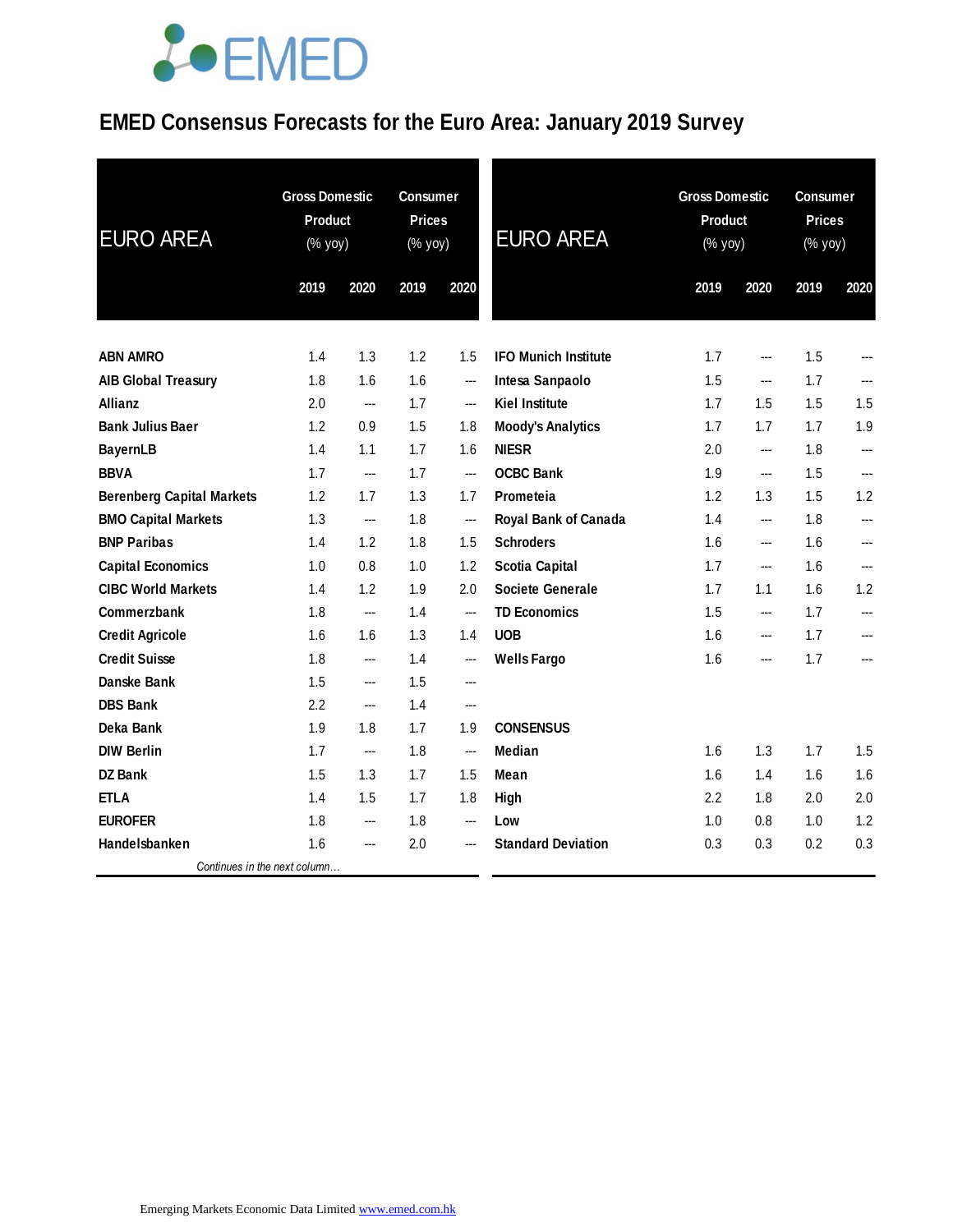# **JOEMED**

### **EMED Consensus Forecasts for the Euro Area: January 2019 Survey**

| <b>EURO AREA</b>                 | <b>Gross Domestic</b><br><b>Product</b><br>(% yoy) |      | <b>Consumer</b><br><b>Prices</b><br>(% yoy) |                          | <b>EURO AREA</b>            | <b>Gross Domestic</b><br><b>Product</b><br>(% yoy) |                   | <b>Consumer</b><br><b>Prices</b><br>(% yoy) |                          |
|----------------------------------|----------------------------------------------------|------|---------------------------------------------|--------------------------|-----------------------------|----------------------------------------------------|-------------------|---------------------------------------------|--------------------------|
|                                  | 2019                                               | 2020 | 2019                                        | 2020                     |                             | 2019                                               | 2020              | 2019                                        | 2020                     |
| <b>ABN AMRO</b>                  | 1.4                                                | 1.3  | 1.2                                         | 1.5                      | <b>IFO Munich Institute</b> | 1.7                                                | ---               | 1.5                                         |                          |
| <b>AIB Global Treasury</b>       | 1.8                                                | 1.6  | 1.6                                         | $\sim$                   | Intesa Sanpaolo             | 1.5                                                | ---               | 1.7                                         |                          |
| Allianz                          | 2.0                                                | ---  | 1.7                                         | $\hspace{0.05cm}$        | <b>Kiel Institute</b>       | 1.7                                                | 1.5               | 1.5                                         | 1.5                      |
| <b>Bank Julius Baer</b>          | 1.2                                                | 0.9  | 1.5                                         | 1.8                      | <b>Moody's Analytics</b>    | 1.7                                                | 1.7               | 1.7                                         | 1.9                      |
| <b>BayernLB</b>                  | 1.4                                                | 1.1  | 1.7                                         | 1.6                      | <b>NIESR</b>                | 2.0                                                | ---               | 1.8                                         | ---                      |
| <b>BBVA</b>                      | 1.7                                                | ---  | 1.7                                         | $\sim$                   | <b>OCBC Bank</b>            | 1.9                                                | ---               | 1.5                                         | $\overline{a}$           |
| <b>Berenberg Capital Markets</b> | 1.2                                                | 1.7  | 1.3                                         | 1.7                      | Prometeia                   | 1.2                                                | 1.3               | 1.5                                         | 1.2                      |
| <b>BMO Capital Markets</b>       | 1.3                                                | ---  | 1.8                                         | $\sim$                   | Royal Bank of Canada        | 1.4                                                | ---               | 1.8                                         | $\overline{\phantom{a}}$ |
| <b>BNP Paribas</b>               | 1.4                                                | 1.2  | 1.8                                         | 1.5                      | <b>Schroders</b>            | 1.6                                                | ---               | 1.6                                         | ---                      |
| <b>Capital Economics</b>         | 1.0                                                | 0.8  | 1.0                                         | 1.2                      | <b>Scotia Capital</b>       | 1.7                                                | $\hspace{0.05cm}$ | 1.6                                         | $\overline{a}$           |
| <b>CIBC World Markets</b>        | 1.4                                                | 1.2  | 1.9                                         | 2.0                      | <b>Societe Generale</b>     | 1.7                                                | 1.1               | 1.6                                         | 1.2                      |
| Commerzbank                      | 1.8                                                | ---  | 1.4                                         | $\overline{\phantom{a}}$ | <b>TD Economics</b>         | 1.5                                                | ---               | 1.7                                         | ---                      |
| <b>Credit Agricole</b>           | 1.6                                                | 1.6  | 1.3                                         | 1.4                      | <b>UOB</b>                  | 1.6                                                | ---               | 1.7                                         | ---                      |
| <b>Credit Suisse</b>             | 1.8                                                | ---  | 1.4                                         | $\overline{\phantom{a}}$ | <b>Wells Fargo</b>          | 1.6                                                | ---               | 1.7                                         |                          |
| Danske Bank                      | 1.5                                                | ---  | 1.5                                         | ---                      |                             |                                                    |                   |                                             |                          |
| <b>DBS Bank</b>                  | 2.2                                                | ---  | 1.4                                         | $\overline{\phantom{a}}$ |                             |                                                    |                   |                                             |                          |
| Deka Bank                        | 1.9                                                | 1.8  | 1.7                                         | 1.9                      | <b>CONSENSUS</b>            |                                                    |                   |                                             |                          |
| <b>DIW Berlin</b>                | 1.7                                                | ---  | 1.8                                         | $\overline{\phantom{a}}$ | <b>Median</b>               | 1.6                                                | 1.3               | 1.7                                         | 1.5                      |
| <b>DZ Bank</b>                   | 1.5                                                | 1.3  | 1.7                                         | 1.5                      | Mean                        | 1.6                                                | 1.4               | 1.6                                         | 1.6                      |
| <b>ETLA</b>                      | 1.4                                                | 1.5  | 1.7                                         | 1.8                      | High                        | 2.2                                                | 1.8               | 2.0                                         | 2.0                      |
| <b>EUROFER</b>                   | 1.8                                                | ---  | 1.8                                         | $--$                     | Low                         | 1.0                                                | 0.8               | 1.0                                         | 1.2                      |
| Handelsbanken                    | 1.6                                                | ---  | 2.0                                         | $\hspace{0.05cm} \ldots$ | <b>Standard Deviation</b>   | 0.3                                                | 0.3               | 0.2                                         | 0.3                      |
| Continues in the next column     |                                                    |      |                                             |                          |                             |                                                    |                   |                                             |                          |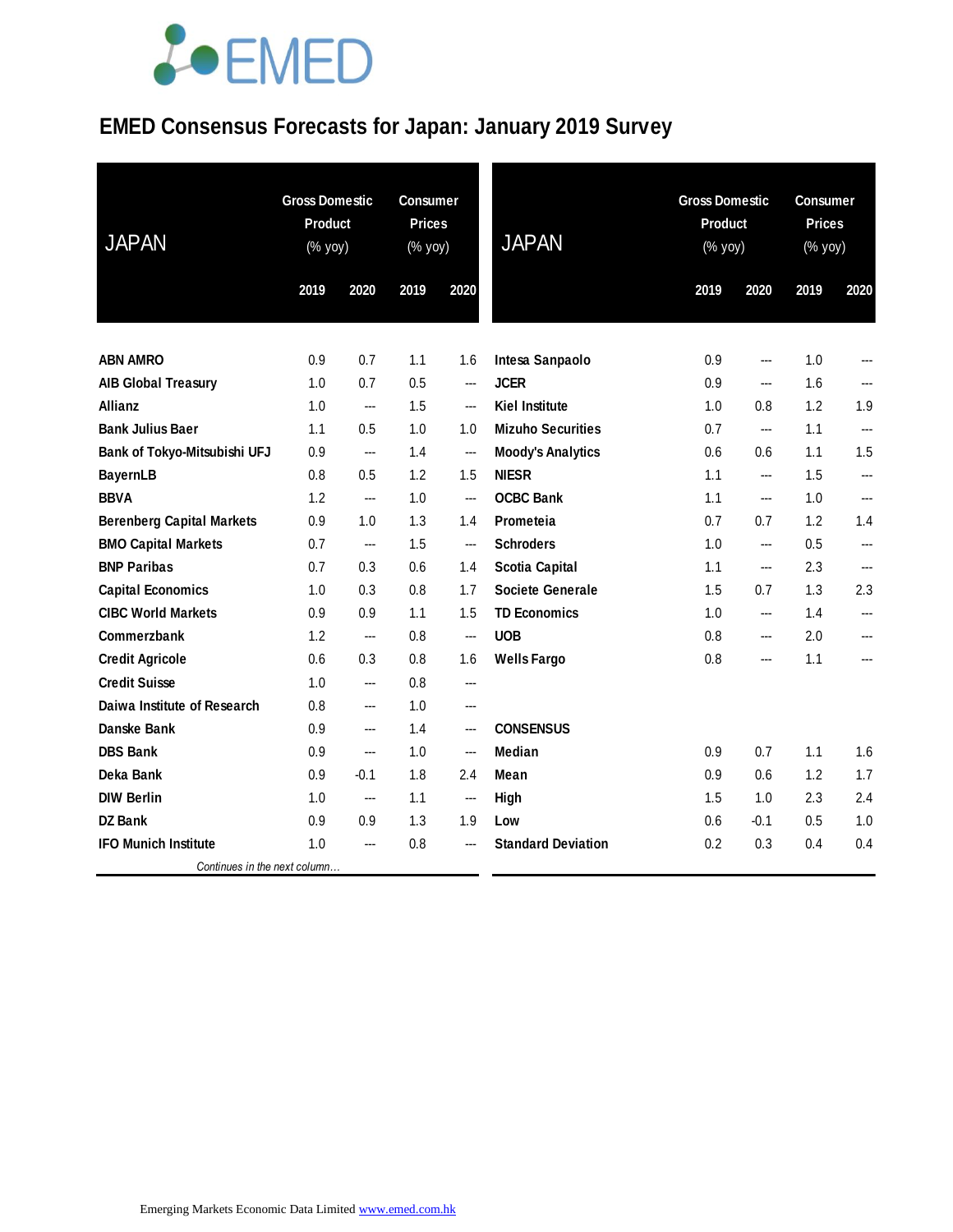# **JOEMED**

### **EMED Consensus Forecasts for Japan: January 2019 Survey**

| <b>JAPAN</b>                     | <b>Gross Domestic</b><br>Product<br>(% yoy) |        | <b>Consumer</b><br><b>Prices</b><br>$(% \mathsf{Y}^{\prime }\mathsf{Y}^{\prime }\mathsf{Y}^{\prime })$ |                          | <b>JAPAN</b>              |      | <b>Gross Domestic</b><br><b>Product</b><br>(% yoy) |      | <b>Consumer</b><br><b>Prices</b><br>(% yoy) |  |
|----------------------------------|---------------------------------------------|--------|--------------------------------------------------------------------------------------------------------|--------------------------|---------------------------|------|----------------------------------------------------|------|---------------------------------------------|--|
|                                  | 2019                                        | 2020   | 2019                                                                                                   | 2020                     |                           | 2019 | 2020                                               | 2019 | 2020                                        |  |
| <b>ABN AMRO</b>                  | 0.9                                         | 0.7    | 1.1                                                                                                    | 1.6                      | Intesa Sanpaolo           | 0.9  | ---                                                | 1.0  |                                             |  |
| <b>AIB Global Treasury</b>       | 1.0                                         | 0.7    | 0.5                                                                                                    | $\overline{\phantom{a}}$ | <b>JCER</b>               | 0.9  | $\overline{\phantom{a}}$                           | 1.6  | ---                                         |  |
| <b>Allianz</b>                   | 1.0                                         | ---    | 1.5                                                                                                    | ---                      | <b>Kiel Institute</b>     | 1.0  | 0.8                                                | 1.2  | 1.9                                         |  |
| <b>Bank Julius Baer</b>          | 1.1                                         | 0.5    | 1.0                                                                                                    | 1.0                      | <b>Mizuho Securities</b>  | 0.7  | ---                                                | 1.1  | ---                                         |  |
| Bank of Tokyo-Mitsubishi UFJ     | 0.9                                         | ---    | 1.4                                                                                                    | ---                      | <b>Moody's Analytics</b>  | 0.6  | 0.6                                                | 1.1  | 1.5                                         |  |
| <b>BayernLB</b>                  | 0.8                                         | 0.5    | 1.2                                                                                                    | 1.5                      | <b>NIESR</b>              | 1.1  | ---                                                | 1.5  |                                             |  |
| <b>BBVA</b>                      | 1.2                                         | ---    | 1.0                                                                                                    | $\overline{\phantom{a}}$ | <b>OCBC Bank</b>          | 1.1  | ---                                                | 1.0  | ---                                         |  |
| <b>Berenberg Capital Markets</b> | 0.9                                         | 1.0    | 1.3                                                                                                    | 1.4                      | Prometeia                 | 0.7  | 0.7                                                | 1.2  | 1.4                                         |  |
| <b>BMO Capital Markets</b>       | 0.7                                         | ---    | 1.5                                                                                                    | ---                      | <b>Schroders</b>          | 1.0  | ---                                                | 0.5  | ---                                         |  |
| <b>BNP Paribas</b>               | 0.7                                         | 0.3    | 0.6                                                                                                    | 1.4                      | <b>Scotia Capital</b>     | 1.1  | ---                                                | 2.3  | ---                                         |  |
| <b>Capital Economics</b>         | 1.0                                         | 0.3    | 0.8                                                                                                    | 1.7                      | <b>Societe Generale</b>   | 1.5  | 0.7                                                | 1.3  | 2.3                                         |  |
| <b>CIBC World Markets</b>        | 0.9                                         | 0.9    | 1.1                                                                                                    | 1.5                      | <b>TD Economics</b>       | 1.0  | ---                                                | 1.4  |                                             |  |
| Commerzbank                      | 1.2                                         | ---    | 0.8                                                                                                    | $\overline{\phantom{a}}$ | <b>UOB</b>                | 0.8  | ---                                                | 2.0  | ---                                         |  |
| <b>Credit Agricole</b>           | 0.6                                         | 0.3    | 0.8                                                                                                    | 1.6                      | <b>Wells Fargo</b>        | 0.8  | ---                                                | 1.1  | ---                                         |  |
| <b>Credit Suisse</b>             | 1.0                                         | ---    | 0.8                                                                                                    | ---                      |                           |      |                                                    |      |                                             |  |
| Daiwa Institute of Research      | 0.8                                         | ---    | 1.0                                                                                                    | ---                      |                           |      |                                                    |      |                                             |  |
| Danske Bank                      | 0.9                                         | ---    | 1.4                                                                                                    | $\hspace{0.05cm} \ldots$ | <b>CONSENSUS</b>          |      |                                                    |      |                                             |  |
| <b>DBS Bank</b>                  | 0.9                                         | ---    | 1.0                                                                                                    | ---                      | <b>Median</b>             | 0.9  | 0.7                                                | 1.1  | 1.6                                         |  |
| Deka Bank                        | 0.9                                         | $-0.1$ | 1.8                                                                                                    | 2.4                      | Mean                      | 0.9  | 0.6                                                | 1.2  | 1.7                                         |  |
| <b>DIW Berlin</b>                | 1.0                                         | ---    | 1.1                                                                                                    | $\hspace{0.05cm} \ldots$ | High                      | 1.5  | 1.0                                                | 2.3  | 2.4                                         |  |
| <b>DZ Bank</b>                   | 0.9                                         | 0.9    | 1.3                                                                                                    | 1.9                      | Low                       | 0.6  | $-0.1$                                             | 0.5  | 1.0                                         |  |
| <b>IFO Munich Institute</b>      | 1.0                                         | ---    | 0.8                                                                                                    | ---                      | <b>Standard Deviation</b> | 0.2  | 0.3                                                | 0.4  | 0.4                                         |  |
| Continues in the next column     |                                             |        |                                                                                                        |                          |                           |      |                                                    |      |                                             |  |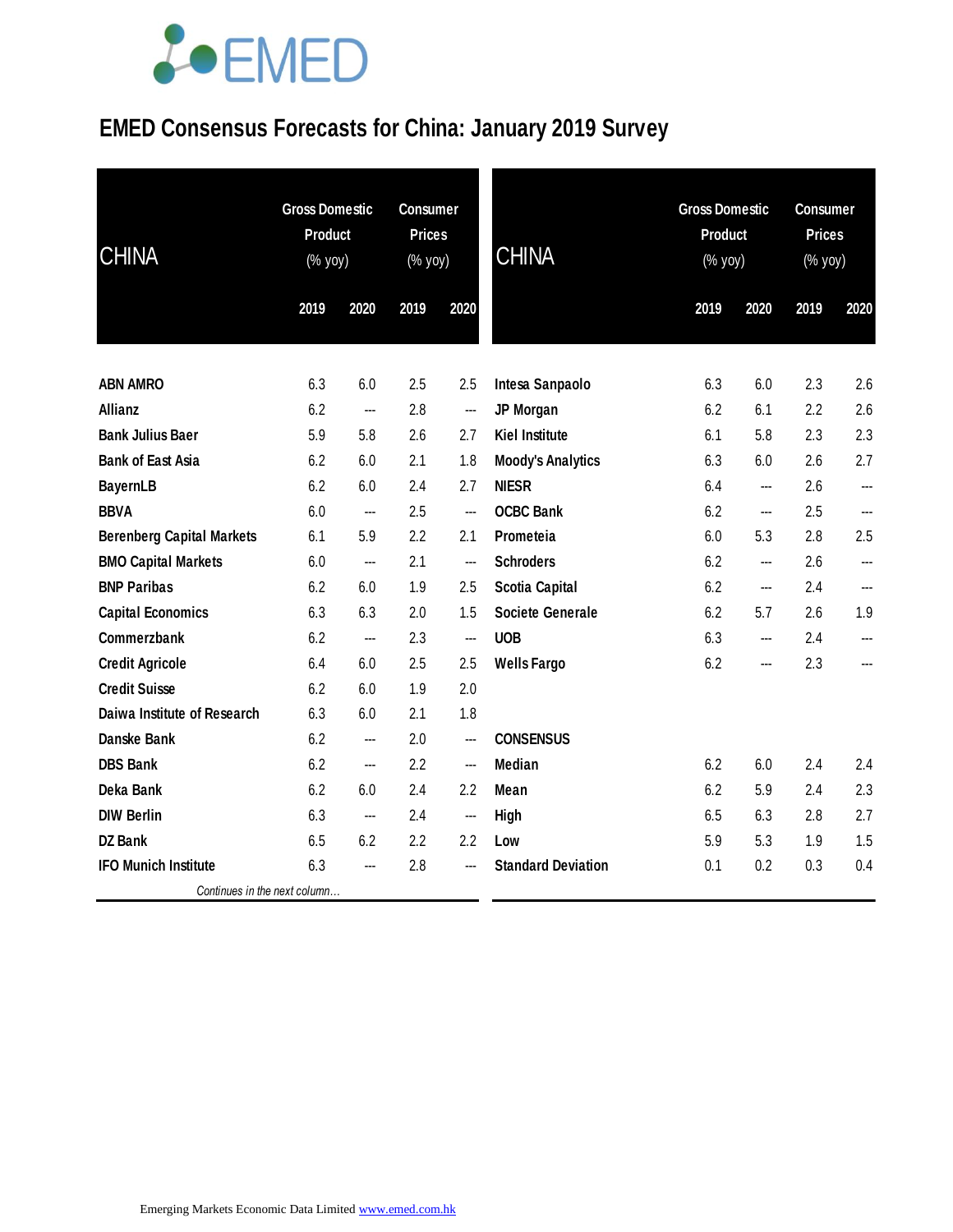### LOEMED

### **EMED Consensus Forecasts for China: January 2019 Survey**

| <b>CHINA</b>                     | <b>Gross Domestic</b><br><b>Product</b><br>(% yoy) |      | <b>Consumer</b><br><b>Prices</b><br>$(% \mathsf{Y}\rightarrow \mathsf{Y})$ |        | <b>CHINA</b>              |      | <b>Gross Domestic</b><br>Product<br>$(\%$ yoy) |      | <b>Consumer</b><br><b>Prices</b><br>(% yoy) |  |
|----------------------------------|----------------------------------------------------|------|----------------------------------------------------------------------------|--------|---------------------------|------|------------------------------------------------|------|---------------------------------------------|--|
|                                  | 2019                                               | 2020 | 2019                                                                       | 2020   |                           | 2019 | 2020                                           | 2019 | 2020                                        |  |
| <b>ABN AMRO</b>                  | 6.3                                                | 6.0  | 2.5                                                                        | 2.5    | Intesa Sanpaolo           | 6.3  | 6.0                                            | 2.3  | 2.6                                         |  |
| Allianz                          | 6.2                                                | ---  | 2.8                                                                        | ---    | <b>JP Morgan</b>          | 6.2  | 6.1                                            | 2.2  | 2.6                                         |  |
| <b>Bank Julius Baer</b>          | 5.9                                                | 5.8  | 2.6                                                                        | 2.7    | <b>Kiel Institute</b>     | 6.1  | 5.8                                            | 2.3  | 2.3                                         |  |
| <b>Bank of East Asia</b>         | 6.2                                                | 6.0  | 2.1                                                                        | 1.8    | <b>Moody's Analytics</b>  | 6.3  | 6.0                                            | 2.6  | 2.7                                         |  |
| <b>BayernLB</b>                  | 6.2                                                | 6.0  | 2.4                                                                        | 2.7    | <b>NIESR</b>              | 6.4  | ---                                            | 2.6  | ---                                         |  |
| <b>BBVA</b>                      | 6.0                                                | ---  | 2.5                                                                        | ---    | <b>OCBC Bank</b>          | 6.2  | ---                                            | 2.5  | ---                                         |  |
| <b>Berenberg Capital Markets</b> | 6.1                                                | 5.9  | 2.2                                                                        | 2.1    | Prometeia                 | 6.0  | 5.3                                            | 2.8  | 2.5                                         |  |
| <b>BMO Capital Markets</b>       | 6.0                                                | ---  | 2.1                                                                        | $\sim$ | <b>Schroders</b>          | 6.2  | ---                                            | 2.6  | ---                                         |  |
| <b>BNP Paribas</b>               | 6.2                                                | 6.0  | 1.9                                                                        | 2.5    | <b>Scotia Capital</b>     | 6.2  | ---                                            | 2.4  | ---                                         |  |
| <b>Capital Economics</b>         | 6.3                                                | 6.3  | 2.0                                                                        | 1.5    | <b>Societe Generale</b>   | 6.2  | 5.7                                            | 2.6  | 1.9                                         |  |
| Commerzbank                      | 6.2                                                | ---  | 2.3                                                                        | ---    | <b>UOB</b>                | 6.3  | ---                                            | 2.4  | ---                                         |  |
| <b>Credit Agricole</b>           | 6.4                                                | 6.0  | 2.5                                                                        | 2.5    | <b>Wells Fargo</b>        | 6.2  | ---                                            | 2.3  | ---                                         |  |
| <b>Credit Suisse</b>             | 6.2                                                | 6.0  | 1.9                                                                        | 2.0    |                           |      |                                                |      |                                             |  |
| Daiwa Institute of Research      | 6.3                                                | 6.0  | 2.1                                                                        | 1.8    |                           |      |                                                |      |                                             |  |
| <b>Danske Bank</b>               | 6.2                                                | ---  | 2.0                                                                        | ---    | <b>CONSENSUS</b>          |      |                                                |      |                                             |  |
| <b>DBS Bank</b>                  | 6.2                                                | ---  | 2.2                                                                        | ---    | <b>Median</b>             | 6.2  | 6.0                                            | 2.4  | 2.4                                         |  |
| Deka Bank                        | 6.2                                                | 6.0  | 2.4                                                                        | 2.2    | Mean                      | 6.2  | 5.9                                            | 2.4  | 2.3                                         |  |
| <b>DIW Berlin</b>                | 6.3                                                | ---  | 2.4                                                                        | $\sim$ | High                      | 6.5  | 6.3                                            | 2.8  | 2.7                                         |  |
| <b>DZ Bank</b>                   | 6.5                                                | 6.2  | 2.2                                                                        | 2.2    | Low                       | 5.9  | 5.3                                            | 1.9  | 1.5                                         |  |
| <b>IFO Munich Institute</b>      | 6.3                                                | ---  | 2.8                                                                        | ---    | <b>Standard Deviation</b> | 0.1  | 0.2                                            | 0.3  | 0.4                                         |  |
| Continues in the next column     |                                                    |      |                                                                            |        |                           |      |                                                |      |                                             |  |